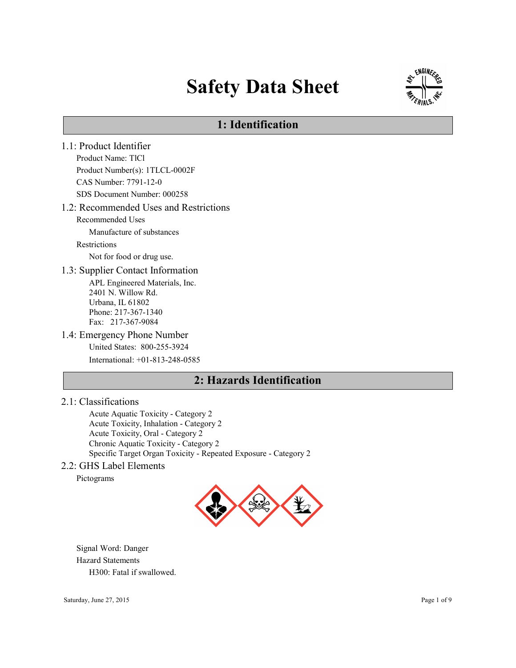# Safety Data Sheet



# 1: Identification

1.1: Product Identifier Product Name: TlCl Product Number(s): 1TLCL-0002F CAS Number: 7791-12-0 SDS Document Number: 000258 1.2: Recommended Uses and Restrictions Recommended Uses Manufacture of substances Restrictions Not for food or drug use. 1.3: Supplier Contact Information APL Engineered Materials, Inc. 2401 N. Willow Rd. Urbana, IL 61802 Phone: 217-367-1340 Fax: 217-367-9084 1.4: Emergency Phone Number United States: 800-255-3924 International: +01-813-248-0585 2: Hazards Identification

#### 2.1: Classifications

Acute Aquatic Toxicity - Category 2 Acute Toxicity, Inhalation - Category 2 Acute Toxicity, Oral - Category 2 Chronic Aquatic Toxicity - Category 2 Specific Target Organ Toxicity - Repeated Exposure - Category 2

## 2.2: GHS Label Elements

Pictograms



Signal Word: Danger Hazard Statements H300: Fatal if swallowed.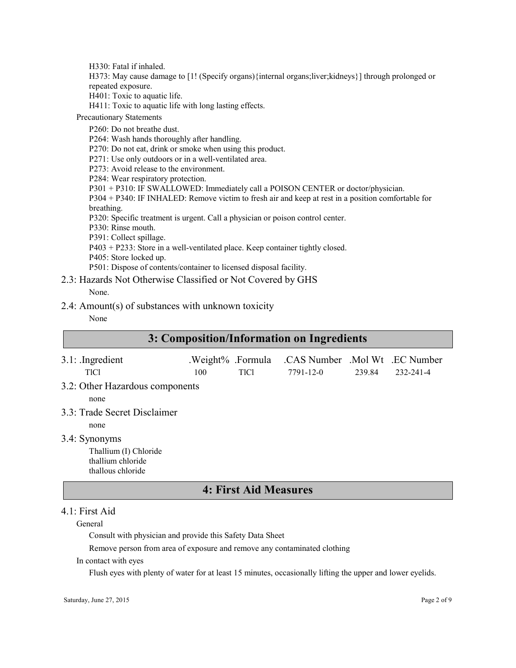H330: Fatal if inhaled.

H373: May cause damage to [1! (Specify organs){internal organs;liver;kidneys}] through prolonged or repeated exposure.

H401: Toxic to aquatic life.

H411: Toxic to aquatic life with long lasting effects.

Precautionary Statements

P260: Do not breathe dust. P264: Wash hands thoroughly after handling. P270: Do not eat, drink or smoke when using this product. P271: Use only outdoors or in a well-ventilated area. P273: Avoid release to the environment. P284: Wear respiratory protection. P301 + P310: IF SWALLOWED: Immediately call a POISON CENTER or doctor/physician. P304 + P340: IF INHALED: Remove victim to fresh air and keep at rest in a position comfortable for breathing. P320: Specific treatment is urgent. Call a physician or poison control center. P330: Rinse mouth. P391: Collect spillage. P403 + P233: Store in a well-ventilated place. Keep container tightly closed. P405: Store locked up. P501: Dispose of contents/container to licensed disposal facility. 2.3: Hazards Not Otherwise Classified or Not Covered by GHS

None.

2.4: Amount(s) of substances with unknown toxicity

#### None

| 3: Composition/Information on Ingredients                                        |                          |             |                                             |        |           |
|----------------------------------------------------------------------------------|--------------------------|-------------|---------------------------------------------|--------|-----------|
| $3.1:$ Ingredient<br><b>TICI</b>                                                 | .Weight% .Formula<br>100 | <b>TICI</b> | .CAS Number .Mol Wt .EC Number<br>7791-12-0 | 239.84 | 232-241-4 |
| 3.2: Other Hazardous components<br>none                                          |                          |             |                                             |        |           |
| 3.3: Trade Secret Disclaimer<br>none                                             |                          |             |                                             |        |           |
| 3.4: Synonyms<br>Thallium (I) Chloride<br>thallium chloride<br>thallous chloride |                          |             |                                             |        |           |
| <b>4: First Aid Measures</b>                                                     |                          |             |                                             |        |           |

## 4.1: First Aid

General

Consult with physician and provide this Safety Data Sheet

Remove person from area of exposure and remove any contaminated clothing

In contact with eyes

Flush eyes with plenty of water for at least 15 minutes, occasionally lifting the upper and lower eyelids.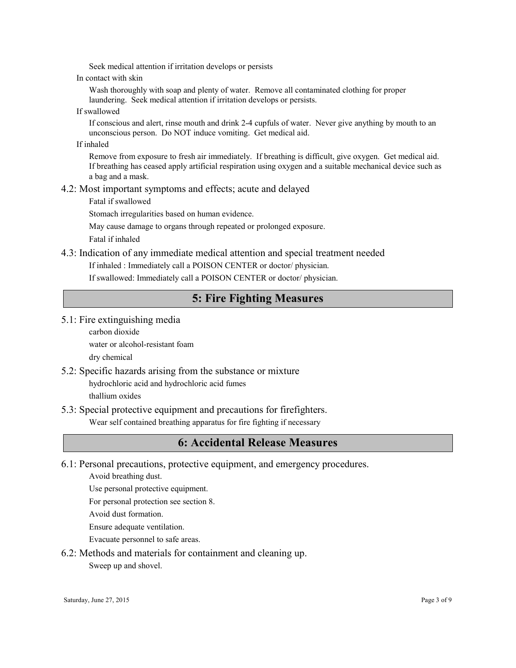Seek medical attention if irritation develops or persists

In contact with skin

Wash thoroughly with soap and plenty of water. Remove all contaminated clothing for proper laundering. Seek medical attention if irritation develops or persists.

If swallowed

If conscious and alert, rinse mouth and drink 2-4 cupfuls of water. Never give anything by mouth to an unconscious person. Do NOT induce vomiting. Get medical aid.

If inhaled

Remove from exposure to fresh air immediately. If breathing is difficult, give oxygen. Get medical aid. If breathing has ceased apply artificial respiration using oxygen and a suitable mechanical device such as a bag and a mask.

#### 4.2: Most important symptoms and effects; acute and delayed

Fatal if swallowed

Stomach irregularities based on human evidence.

May cause damage to organs through repeated or prolonged exposure.

Fatal if inhaled

## 4.3: Indication of any immediate medical attention and special treatment needed

If inhaled : Immediately call a POISON CENTER or doctor/ physician.

If swallowed: Immediately call a POISON CENTER or doctor/ physician.

# 5: Fire Fighting Measures

- 5.1: Fire extinguishing media
	- carbon dioxide water or alcohol-resistant foam dry chemical
- 5.2: Specific hazards arising from the substance or mixture hydrochloric acid and hydrochloric acid fumes

thallium oxides

5.3: Special protective equipment and precautions for firefighters.

Wear self contained breathing apparatus for fire fighting if necessary

# 6: Accidental Release Measures

6.1: Personal precautions, protective equipment, and emergency procedures.

Avoid breathing dust.

Use personal protective equipment.

For personal protection see section 8.

Avoid dust formation.

Ensure adequate ventilation.

Evacuate personnel to safe areas.

6.2: Methods and materials for containment and cleaning up.

Sweep up and shovel.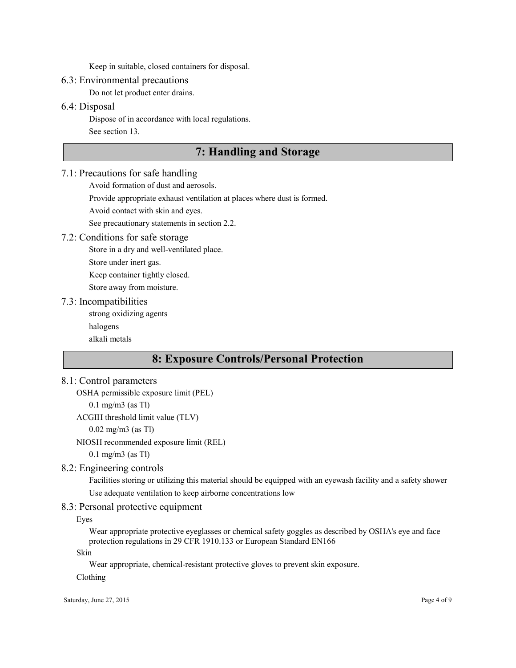Keep in suitable, closed containers for disposal.

#### 6.3: Environmental precautions

Do not let product enter drains.

### 6.4: Disposal

Dispose of in accordance with local regulations. See section 13.

# 7: Handling and Storage

#### 7.1: Precautions for safe handling

Avoid formation of dust and aerosols.

Provide appropriate exhaust ventilation at places where dust is formed.

Avoid contact with skin and eyes.

See precautionary statements in section 2.2.

#### 7.2: Conditions for safe storage

Store in a dry and well-ventilated place.

Store under inert gas.

Keep container tightly closed.

Store away from moisture.

#### 7.3: Incompatibilities

strong oxidizing agents

halogens

alkali metals

# 8: Exposure Controls/Personal Protection

## 8.1: Control parameters

OSHA permissible exposure limit (PEL)

0.1 mg/m3 (as Tl)

```
ACGIH threshold limit value (TLV)
```
0.02 mg/m3 (as Tl)

NIOSH recommended exposure limit (REL)

0.1 mg/m3 (as Tl)

# 8.2: Engineering controls

Facilities storing or utilizing this material should be equipped with an eyewash facility and a safety shower Use adequate ventilation to keep airborne concentrations low

## 8.3: Personal protective equipment

Eyes

Wear appropriate protective eyeglasses or chemical safety goggles as described by OSHA's eye and face protection regulations in 29 CFR 1910.133 or European Standard EN166

Skin

Wear appropriate, chemical-resistant protective gloves to prevent skin exposure.

#### Clothing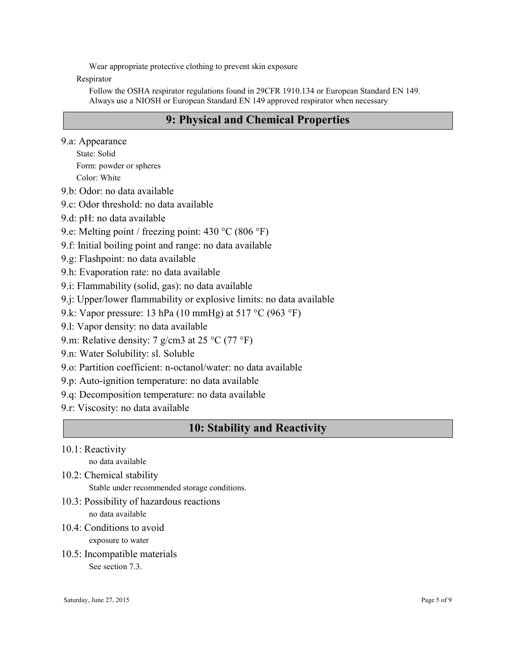Wear appropriate protective clothing to prevent skin exposure

Respirator

Follow the OSHA respirator regulations found in 29CFR 1910.134 or European Standard EN 149. Always use a NIOSH or European Standard EN 149 approved respirator when necessary

# 9: Physical and Chemical Properties

9.a: Appearance

State: Solid Form: powder or spheres Color: White

9.b: Odor: no data available

- 9.c: Odor threshold: no data available
- 9.d: pH: no data available
- 9.e: Melting point / freezing point: 430 °C (806 °F)
- 9.f: Initial boiling point and range: no data available
- 9.g: Flashpoint: no data available
- 9.h: Evaporation rate: no data available
- 9.i: Flammability (solid, gas): no data available
- 9.j: Upper/lower flammability or explosive limits: no data available
- 9.k: Vapor pressure: 13 hPa (10 mmHg) at 517 °C (963 °F)
- 9.l: Vapor density: no data available
- 9.m: Relative density: 7 g/cm3 at 25 °C (77 °F)
- 9.n: Water Solubility: sl. Soluble
- 9.o: Partition coefficient: n-octanol/water: no data available
- 9.p: Auto-ignition temperature: no data available
- 9.q: Decomposition temperature: no data available
- 9.r: Viscosity: no data available

# 10: Stability and Reactivity

10.1: Reactivity

no data available

10.2: Chemical stability

Stable under recommended storage conditions.

- 10.3: Possibility of hazardous reactions no data available
- 10.4: Conditions to avoid

exposure to water

10.5: Incompatible materials See section 7.3.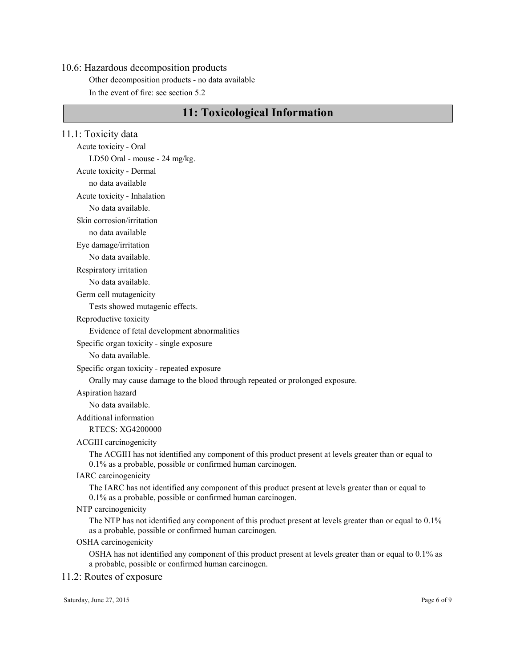#### 10.6: Hazardous decomposition products

Other decomposition products - no data available In the event of fire: see section 5.2

# 11: Toxicological Information

11.1: Toxicity data Acute toxicity - Oral LD50 Oral - mouse - 24 mg/kg. Acute toxicity - Dermal no data available Acute toxicity - Inhalation No data available. Skin corrosion/irritation no data available Eye damage/irritation No data available. Respiratory irritation No data available. Germ cell mutagenicity Tests showed mutagenic effects. Reproductive toxicity Evidence of fetal development abnormalities Specific organ toxicity - single exposure No data available. Specific organ toxicity - repeated exposure Orally may cause damage to the blood through repeated or prolonged exposure. Aspiration hazard No data available. Additional information RTECS: XG4200000 ACGIH carcinogenicity The ACGIH has not identified any component of this product present at levels greater than or equal to 0.1% as a probable, possible or confirmed human carcinogen. IARC carcinogenicity The IARC has not identified any component of this product present at levels greater than or equal to 0.1% as a probable, possible or confirmed human carcinogen. NTP carcinogenicity The NTP has not identified any component of this product present at levels greater than or equal to 0.1% as a probable, possible or confirmed human carcinogen. OSHA carcinogenicity OSHA has not identified any component of this product present at levels greater than or equal to 0.1% as a probable, possible or confirmed human carcinogen.

#### 11.2: Routes of exposure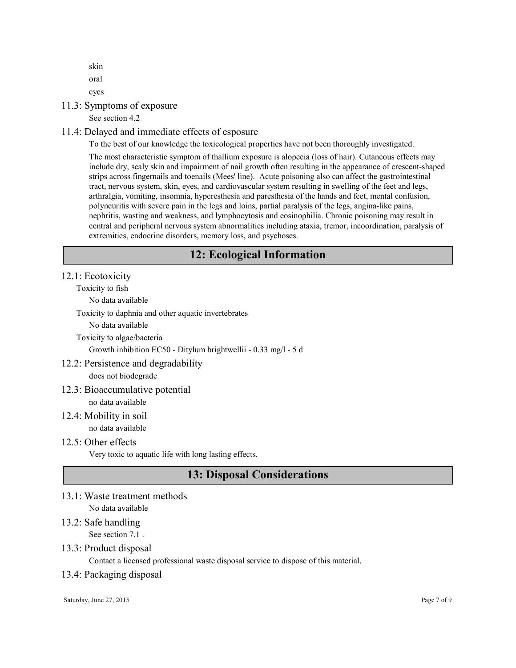skin oral eyes

11.3: Symptoms of exposure

See section 4.2

## 11.4: Delayed and immediate effects of esposure

To the best of our knowledge the toxicological properties have not been thoroughly investigated.

The most characteristic symptom of thallium exposure is alopecia (loss of hair). Cutaneous effects may include dry, scaly skin and impairment of nail growth often resulting in the appearance of crescent-shaped strips across fingernails and toenails (Mees' line). Acute poisoning also can affect the gastrointestinal tract, nervous system, skin, eyes, and cardiovascular system resulting in swelling of the feet and legs, arthralgia, vomiting, insomnia, hyperesthesia and paresthesia of the hands and feet, mental confusion, polyneuritis with severe pain in the legs and loins, partial paralysis of the legs, angina-like pains, nephritis, wasting and weakness, and lymphocytosis and eosinophilia. Chronic poisoning may result in central and peripheral nervous system abnormalities including ataxia, tremor, incoordination, paralysis of extremities, endocrine disorders, memory loss, and psychoses.

# 12: Ecological Information

#### 12.1: Ecotoxicity

Toxicity to fish

No data available

Toxicity to daphnia and other aquatic invertebrates

No data available

Toxicity to algae/bacteria

Growth inhibition EC50 - Ditylum brightwellii - 0.33 mg/l - 5 d

## 12.2: Persistence and degradability

does not biodegrade

#### 12.3: Bioaccumulative potential

no data available

#### 12.4: Mobility in soil no data available

#### 12.5: Other effects

Very toxic to aquatic life with long lasting effects.

# 13: Disposal Considerations

13.1: Waste treatment methods No data available

## 13.2: Safe handling

See section 7.1 .

## 13.3: Product disposal

Contact a licensed professional waste disposal service to dispose of this material.

#### 13.4: Packaging disposal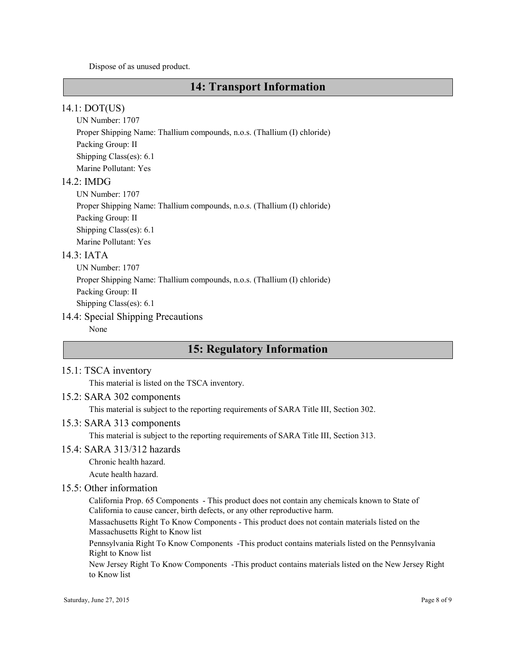Dispose of as unused product.

# 14: Transport Information

#### 14.1: DOT(US)

UN Number: 1707 Proper Shipping Name: Thallium compounds, n.o.s. (Thallium (I) chloride) Packing Group: II Shipping Class(es): 6.1 Marine Pollutant: Yes

## 14.2: IMDG

UN Number: 1707 Proper Shipping Name: Thallium compounds, n.o.s. (Thallium (I) chloride) Packing Group: II Shipping Class(es): 6.1 Marine Pollutant: Yes

#### 14.3: IATA

UN Number: 1707 Proper Shipping Name: Thallium compounds, n.o.s. (Thallium (I) chloride) Packing Group: II Shipping Class(es): 6.1

# 14.4: Special Shipping Precautions

None

# 15: Regulatory Information

#### 15.1: TSCA inventory

This material is listed on the TSCA inventory.

#### 15.2: SARA 302 components

This material is subject to the reporting requirements of SARA Title III, Section 302.

#### 15.3: SARA 313 components

This material is subject to the reporting requirements of SARA Title III, Section 313.

## 15.4: SARA 313/312 hazards

Chronic health hazard.

Acute health hazard.

#### 15.5: Other information

California Prop. 65 Components - This product does not contain any chemicals known to State of California to cause cancer, birth defects, or any other reproductive harm.

Massachusetts Right To Know Components - This product does not contain materials listed on the Massachusetts Right to Know list

Pennsylvania Right To Know Components -This product contains materials listed on the Pennsylvania Right to Know list

New Jersey Right To Know Components -This product contains materials listed on the New Jersey Right to Know list